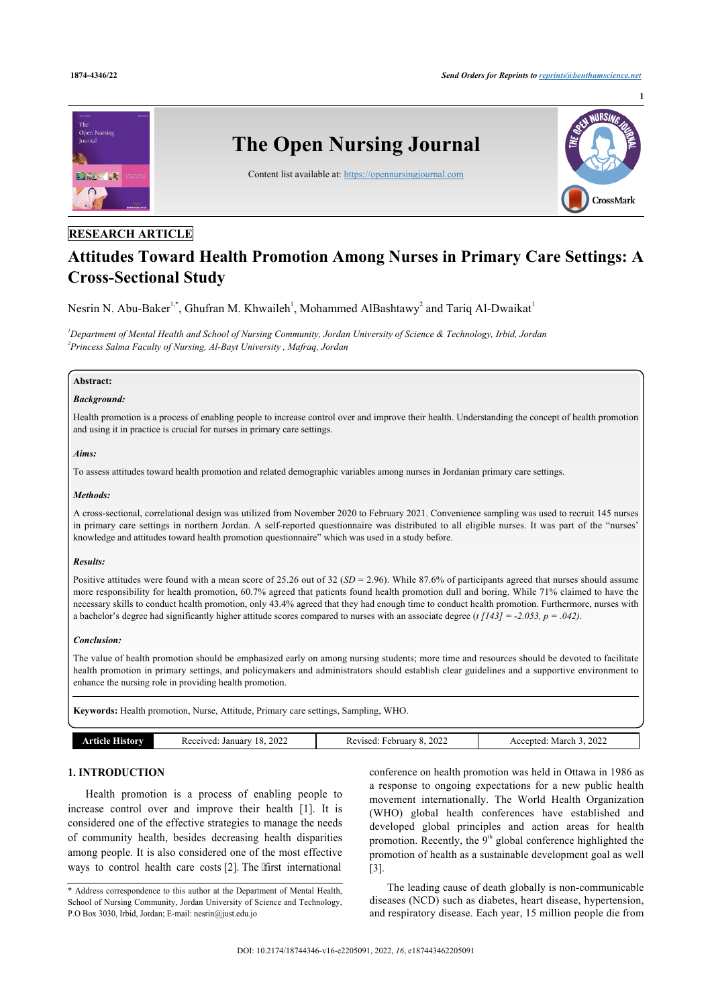

# **RESEARCH ARTICLE**

# **Attitudes Toward Health Promotion Among Nurses in Primary Care Settings: A Cross-Sectional Study**

Nesrin N. Abu-Baker<sup>[1](#page-0-0),[\\*](#page-0-1)</sup>, Ghufran M. Khwaileh<sup>1</sup>, Mohammed AlBashtawy<sup>[2](#page-0-2)</sup> and Tariq Al-Dwaikat<sup>1</sup>

<span id="page-0-2"></span><span id="page-0-0"></span>*<sup>1</sup>Department of Mental Health and School of Nursing Community, Jordan University of Science & Technology, Irbid, Jordan 2 Princess Salma Faculty of Nursing, Al-Bayt University , Mafraq, Jordan*

# **Abstract:**

# *Background:*

Health promotion is a process of enabling people to increase control over and improve their health. Understanding the concept of health promotion and using it in practice is crucial for nurses in primary care settings.

#### *Aims:*

To assess attitudes toward health promotion and related demographic variables among nurses in Jordanian primary care settings.

#### *Methods:*

A cross-sectional, correlational design was utilized from November 2020 to February 2021. Convenience sampling was used to recruit 145 nurses in primary care settings in northern Jordan. A self-reported questionnaire was distributed to all eligible nurses. It was part of the "nurses' knowledge and attitudes toward health promotion questionnaire" which was used in a study before.

#### *Results:*

Positive attitudes were found with a mean score of 25.26 out of 32 (*SD* = 2.96). While 87.6% of participants agreed that nurses should assume more responsibility for health promotion, 60.7% agreed that patients found health promotion dull and boring. While 71% claimed to have the necessary skills to conduct health promotion, only 43.4% agreed that they had enough time to conduct health promotion. Furthermore, nurses with a bachelor's degree had significantly higher attitude scores compared to nurses with an associate degree (*t [143] = -2.053, p = .042)*.

#### *Conclusion:*

The value of health promotion should be emphasized early on among nursing students; more time and resources should be devoted to facilitate health promotion in primary settings, and policymakers and administrators should establish clear guidelines and a supportive environment to enhance the nursing role in providing health promotion.

**Keywords:** Health promotion, Nurse, Attitude, Primary care settings, Sampling, WHO.

| .amr  | 18, 2022  | 2022     | 2022     |
|-------|-----------|----------|----------|
| ticle | Received: | Revised. | March    |
| AVI   | January   | ebruary  | Accepted |

# **1. INTRODUCTION**

Health promotion is a process of enabling people to increase control over and improve their health[[1](#page-4-0)]. It is considered one of the effective strategies to manage the needs of community health, besides decreasing health disparities among people. It is also considered one of the most effective ways to control health care co[sts](#page-4-1) [2]. The 'first international conference on health promotion was held in Ottawa in 1986 as a response to ongoing expectations for a new public health movement internationally. The World Health Organization (WHO) global health conferences have established and developed global principles and action areas for health promotion. Recently, the  $9<sup>th</sup>$  global conference highlighted the promotion of health as a sustainable development goal as well [[3](#page-4-2)].

The leading cause of death globally is non-communicable diseases (NCD) such as diabetes, heart disease, hypertension, and respiratory disease. Each year, 15 million people die from

<span id="page-0-1"></span><sup>\*</sup> Address correspondence to this author at the Department of Mental Health, School of Nursing Community, Jordan University of Science and Technology, P.O Box 3030, Irbid, Jordan; E-mail: [nesrin@just.edu.jo](mailto:nesrin@just.edu.jo)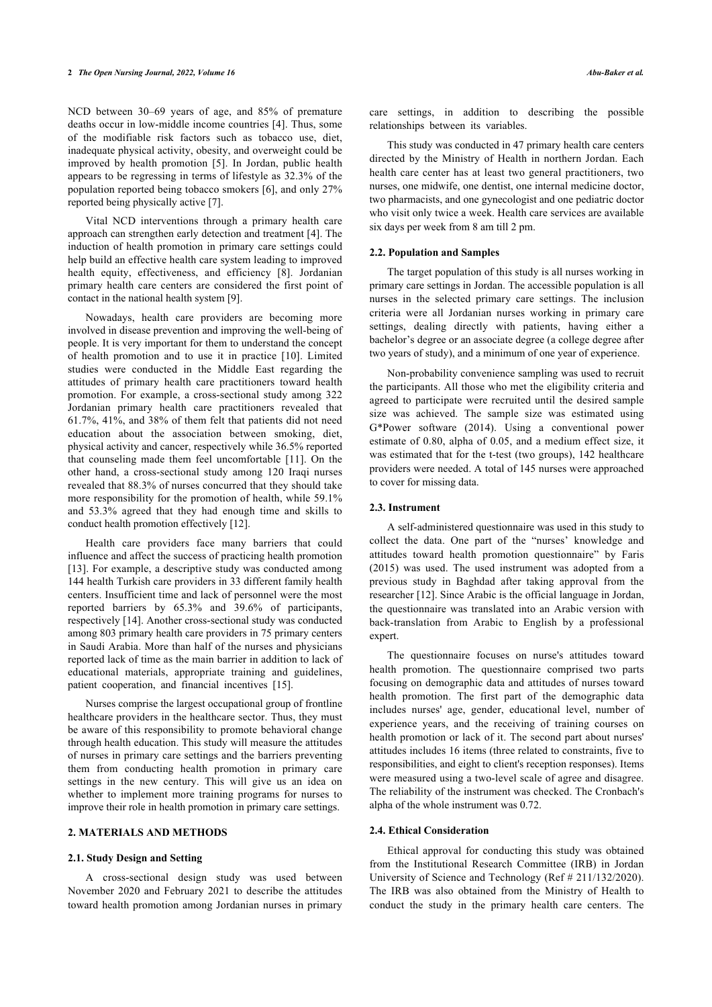NCD between 30–69 years of age, and 85% of premature deaths occur in low-middle income countries [[4](#page-5-0)]. Thus, some of the modifiable risk factors such as tobacco use, diet, inadequate physical activity, obesity, and overweight could be improved by health promotion[[5](#page-5-1)]. In Jordan, public health appears to be regressing in terms of lifestyle as 32.3% of the population reported being tobacco smokers [\[6\]](#page-5-2), and only 27% reported being physically active [\[7\]](#page-5-3).

Vital NCD interventions through a primary health care approach can strengthen early detection and treatment [[4](#page-5-0)]. The induction of health promotion in primary care settings could help build an effective health care system leading to improved health equity, effectiveness, and efficiency [\[8\]](#page-5-4). Jordanian primary health care centers are considered the first point of contact in the national health system [\[9\]](#page-5-5).

Nowadays, health care providers are becoming more involved in disease prevention and improving the well-being of people. It is very important for them to understand the concept of health promotion and to use it in practice[[10\]](#page-5-6). Limited studies were conducted in the Middle East regarding the attitudes of primary health care practitioners toward health promotion. For example, a cross-sectional study among 322 Jordanian primary health care practitioners revealed that 61.7%, 41%, and 38% of them felt that patients did not need education about the association between smoking, diet, physical activity and cancer, respectively while 36.5% reported that counseling made them feel uncomfortable[[11](#page-5-7)]. On the other hand, a cross-sectional study among 120 Iraqi nurses revealed that 88.3% of nurses concurred that they should take more responsibility for the promotion of health, while 59.1% and 53.3% agreed that they had enough time and skills to conduct health promotion effectively [\[12](#page-5-8)].

Health care providers face many barriers that could influence and affect the success of practicing health promotion [[13\]](#page-5-9). For example, a descriptive study was conducted among 144 health Turkish care providers in 33 different family health centers. Insufficient time and lack of personnel were the most reported barriers by 65.3% and 39.6% of participants, respectively [[14\]](#page-5-10). Another cross-sectional study was conducted among 803 primary health care providers in 75 primary centers in Saudi Arabia. More than half of the nurses and physicians reported lack of time as the main barrier in addition to lack of educational materials, appropriate training and guidelines, patient cooperation, and financial incentives [\[15](#page-5-11)].

Nurses comprise the largest occupational group of frontline healthcare providers in the healthcare sector. Thus, they must be aware of this responsibility to promote behavioral change through health education. This study will measure the attitudes of nurses in primary care settings and the barriers preventing them from conducting health promotion in primary care settings in the new century. This will give us an idea on whether to implement more training programs for nurses to improve their role in health promotion in primary care settings.

### **2. MATERIALS AND METHODS**

#### **2.1. Study Design and Setting**

A cross-sectional design study was used between November 2020 and February 2021 to describe the attitudes toward health promotion among Jordanian nurses in primary care settings, in addition to describing the possible relationships between its variables.

This study was conducted in 47 primary health care centers directed by the Ministry of Health in northern Jordan. Each health care center has at least two general practitioners, two nurses, one midwife, one dentist, one internal medicine doctor, two pharmacists, and one gynecologist and one pediatric doctor who visit only twice a week. Health care services are available six days per week from 8 am till 2 pm.

#### **2.2. Population and Samples**

The target population of this study is all nurses working in primary care settings in Jordan. The accessible population is all nurses in the selected primary care settings. The inclusion criteria were all Jordanian nurses working in primary care settings, dealing directly with patients, having either a bachelor's degree or an associate degree (a college degree after two years of study), and a minimum of one year of experience.

Non-probability convenience sampling was used to recruit the participants. All those who met the eligibility criteria and agreed to participate were recruited until the desired sample size was achieved. The sample size was estimated using G\*Power software (2014). Using a conventional power estimate of 0.80, alpha of 0.05, and a medium effect size, it was estimated that for the t-test (two groups), 142 healthcare providers were needed. A total of 145 nurses were approached to cover for missing data.

# **2.3. Instrument**

A self-administered questionnaire was used in this study to collect the data. One part of the "nurses' knowledge and attitudes toward health promotion questionnaire" by Faris (2015) was used. The used instrument was adopted from a previous study in Baghdad after taking approval from the researcher [[12\]](#page-5-8). Since Arabic is the official language in Jordan, the questionnaire was translated into an Arabic version with back-translation from Arabic to English by a professional expert.

The questionnaire focuses on nurse's attitudes toward health promotion. The questionnaire comprised two parts focusing on demographic data and attitudes of nurses toward health promotion. The first part of the demographic data includes nurses' age, gender, educational level, number of experience years, and the receiving of training courses on health promotion or lack of it. The second part about nurses' attitudes includes 16 items (three related to constraints, five to responsibilities, and eight to client's reception responses). Items were measured using a two-level scale of agree and disagree. The reliability of the instrument was checked. The Cronbach's alpha of the whole instrument was 0.72.

# **2.4. Ethical Consideration**

Ethical approval for conducting this study was obtained from the Institutional Research Committee (IRB) in Jordan University of Science and Technology (Ref # 211/132/2020). The IRB was also obtained from the Ministry of Health to conduct the study in the primary health care centers. The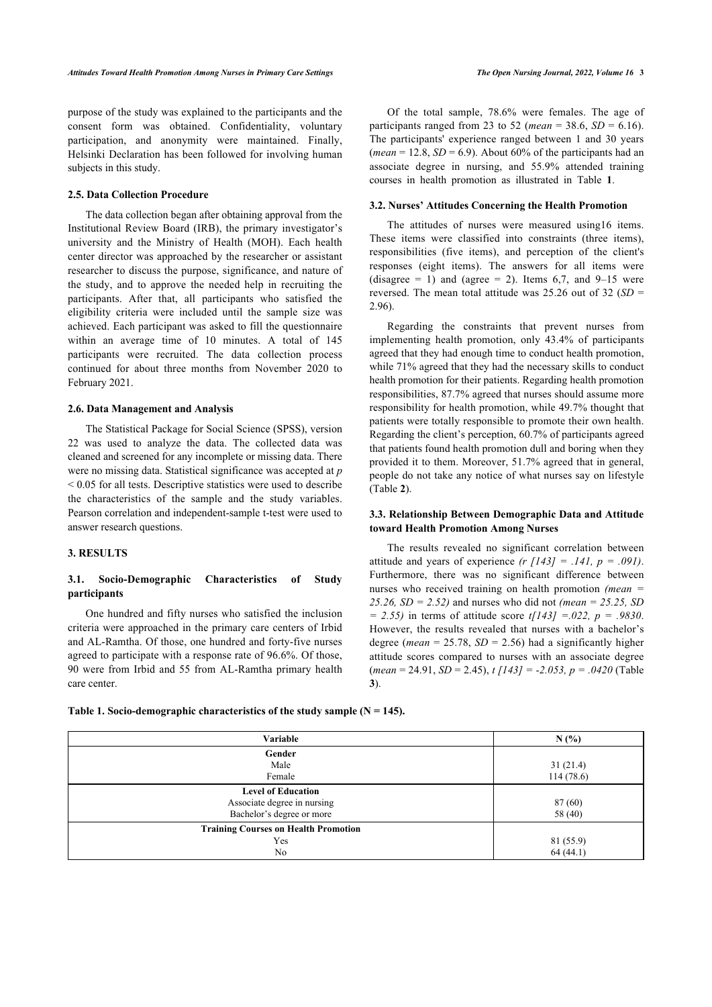purpose of the study was explained to the participants and the consent form was obtained. Confidentiality, voluntary participation, and anonymity were maintained. Finally, Helsinki Declaration has been followed for involving human subjects in this study.

#### **2.5. Data Collection Procedure**

The data collection began after obtaining approval from the Institutional Review Board (IRB), the primary investigator's university and the Ministry of Health (MOH). Each health center director was approached by the researcher or assistant researcher to discuss the purpose, significance, and nature of the study, and to approve the needed help in recruiting the participants. After that, all participants who satisfied the eligibility criteria were included until the sample size was achieved. Each participant was asked to fill the questionnaire within an average time of 10 minutes. A total of 145 participants were recruited. The data collection process continued for about three months from November 2020 to February 2021.

#### **2.6. Data Management and Analysis**

The Statistical Package for Social Science (SPSS), version 22 was used to analyze the data. The collected data was cleaned and screened for any incomplete or missing data. There were no missing data. Statistical significance was accepted at *p* < 0.05 for all tests. Descriptive statistics were used to describe the characteristics of the sample and the study variables. Pearson correlation and independent-sample t-test were used to answer research questions.

#### **3. RESULTS**

# **3.1. Socio-Demographic Characteristics of Study participants**

One hundred and fifty nurses who satisfied the inclusion criteria were approached in the primary care centers of Irbid and AL-Ramtha. Of those, one hundred and forty-five nurses agreed to participate with a response rate of 96.6%. Of those, 90 were from Irbid and 55 from AL-Ramtha primary health care center.

Of the total sample, 78.6% were females. The age of participants ranged from 23 to 52 (*mean* = 38.6,  $SD = 6.16$ ). The participants' experience ranged between 1 and 30 years (*mean* = 12.8,  $SD = 6.9$ ). About 60% of the participants had an associate degree in nursing, and 55.9% attended training courses in health promotion as illustrated in Table**1**.

#### **3.2. Nurses' Attitudes Concerning the Health Promotion**

The attitudes of nurses were measured using16 items. These items were classified into constraints (three items), responsibilities (five items), and perception of the client's responses (eight items). The answers for all items were (disagree = 1) and (agree = 2). Items 6,7, and  $9-15$  were reversed. The mean total attitude was 25.26 out of 32 (*SD* = 2.96).

Regarding the constraints that prevent nurses from implementing health promotion, only 43.4% of participants agreed that they had enough time to conduct health promotion, while 71% agreed that they had the necessary skills to conduct health promotion for their patients. Regarding health promotion responsibilities, 87.7% agreed that nurses should assume more responsibility for health promotion, while 49.7% thought that patients were totally responsible to promote their own health. Regarding the client's perception, 60.7% of participants agreed that patients found health promotion dull and boring when they provided it to them. Moreover, 51.7% agreed that in general, people do not take any notice of what nurses say on lifestyle (Table **[2](#page-2-1)**).

# **3.3. Relationship Between Demographic Data and Attitude toward Health Promotion Among Nurses**

The results revealed no significant correlation between attitude and years of experience  $(r / 143] = .141$ ,  $p = .091$ ). Furthermore, there was no significant difference between nurses who received training on health promotion *(mean = 25.26, SD = 2.52)* and nurses who did not *(mean = 25.25, SD = 2.55)* in terms of attitude score *t[143] =.022, p = .9830*. However, the results revealed that nurses with a bachelor's degree (*mean* = 25.78,  $SD = 2.56$ ) had a significantly higher attitude scores compared to nurses with an associate degree (*mean* = 24.91, *SD* = 2.45), *t [143] = -2.053, p = .0420* (Table **[3](#page-3-0)**).

<span id="page-2-0"></span>

| Table 1. Socio-demographic characteristics of the study sample ( $N = 145$ ). |  |  |  |
|-------------------------------------------------------------------------------|--|--|--|
|-------------------------------------------------------------------------------|--|--|--|

<span id="page-2-1"></span>

| Variable                                    | N(%)      |
|---------------------------------------------|-----------|
| Gender                                      |           |
| Male                                        | 31(21.4)  |
| Female                                      | 114(78.6) |
| <b>Level of Education</b>                   |           |
| Associate degree in nursing                 | 87 (60)   |
| Bachelor's degree or more                   | 58 (40)   |
| <b>Training Courses on Health Promotion</b> |           |
| Yes                                         | 81 (55.9) |
| No.                                         | 64(44.1)  |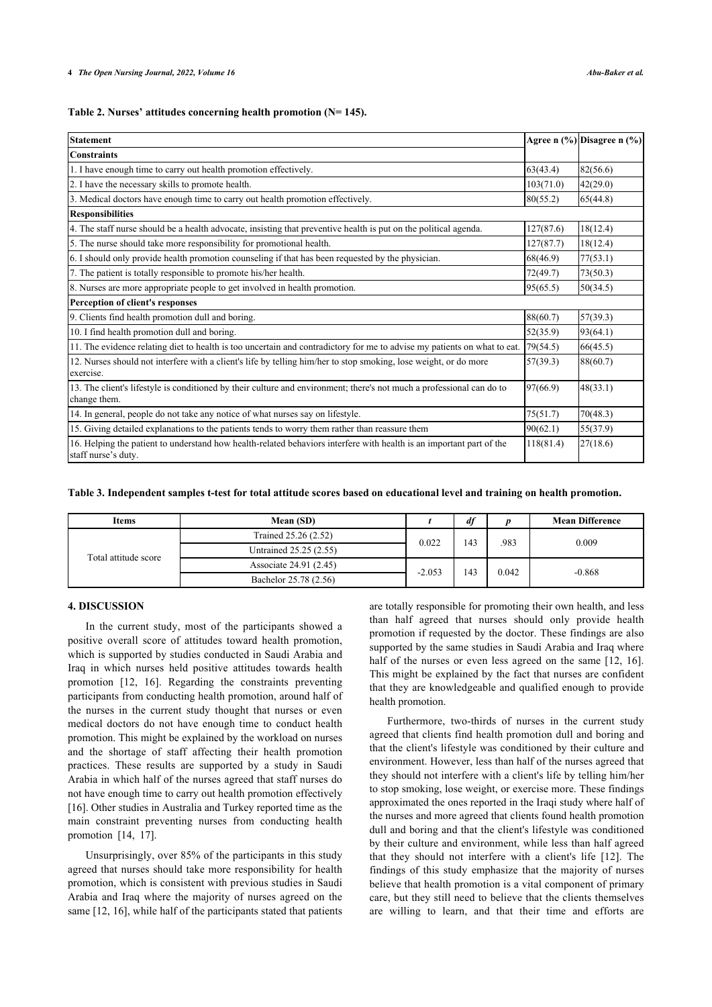#### **Table 2. Nurses' attitudes concerning health promotion (N= 145).**

| Statement                                                                                                                                   |           | Agree n (%) Disagree n (%) |
|---------------------------------------------------------------------------------------------------------------------------------------------|-----------|----------------------------|
| <b>Constraints</b>                                                                                                                          |           |                            |
| 1. I have enough time to carry out health promotion effectively.                                                                            | 63(43.4)  | 82(56.6)                   |
| 2. I have the necessary skills to promote health.                                                                                           | 103(71.0) | 42(29.0)                   |
| 3. Medical doctors have enough time to carry out health promotion effectively.                                                              | 80(55.2)  | 65(44.8)                   |
| <b>Responsibilities</b>                                                                                                                     |           |                            |
| 4. The staff nurse should be a health advocate, insisting that preventive health is put on the political agenda.                            | 127(87.6) | 18(12.4)                   |
| 5. The nurse should take more responsibility for promotional health.                                                                        | 127(87.7) | 18(12.4)                   |
| 6. I should only provide health promotion counseling if that has been requested by the physician.                                           | 68(46.9)  | 77(53.1)                   |
| 7. The patient is totally responsible to promote his/her health.                                                                            | 72(49.7)  | 73(50.3)                   |
| 8. Nurses are more appropriate people to get involved in health promotion.                                                                  | 95(65.5)  | 50(34.5)                   |
| Perception of client's responses                                                                                                            |           |                            |
| 9. Clients find health promotion dull and boring.                                                                                           | 88(60.7)  | 57(39.3)                   |
| 10. I find health promotion dull and boring.                                                                                                | 52(35.9)  | 93(64.1)                   |
| 11. The evidence relating diet to health is too uncertain and contradictory for me to advise my patients on what to eat.                    | 79(54.5)  | 66(45.5)                   |
| 12. Nurses should not interfere with a client's life by telling him/her to stop smoking, lose weight, or do more<br>exercise.               | 57(39.3)  | 88(60.7)                   |
| 13. The client's lifestyle is conditioned by their culture and environment; there's not much a professional can do to<br>change them.       | 97(66.9)  | 48(33.1)                   |
| 14. In general, people do not take any notice of what nurses say on lifestyle.                                                              | 75(51.7)  | 70(48.3)                   |
| 15. Giving detailed explanations to the patients tends to worry them rather than reassure them                                              | 90(62.1)  | 55(37.9)                   |
| 16. Helping the patient to understand how health-related behaviors interfere with health is an important part of the<br>staff nurse's duty. | 118(81.4) | 27(18.6)                   |

<span id="page-3-0"></span>**Table 3. Independent samples t-test for total attitude scores based on educational level and training on health promotion.**

| <b>Items</b>         | Mean (SD)              |          | df  |      | <b>Mean Difference</b> |       |          |
|----------------------|------------------------|----------|-----|------|------------------------|-------|----------|
| Total attitude score | Trained 25.26 (2.52)   | 0.022    | 143 | .983 | 0.009                  |       |          |
|                      | Untrained 25.25 (2.55) |          |     |      |                        |       |          |
|                      | Associate 24.91 (2.45) | $-2.053$ |     |      | 143                    | 0.042 | $-0.868$ |
|                      | Bachelor 25.78 (2.56)  |          |     |      |                        |       |          |

# **4. DISCUSSION**

In the current study, most of the participants showed a positive overall score of attitudes toward health promotion, which is supported by studies conducted in Saudi Arabia and Iraq in which nurses held positive attitudes towards health promotion[[12,](#page-5-8) [16\]](#page-5-12). Regarding the constraints preventing participants from conducting health promotion, around half of the nurses in the current study thought that nurses or even medical doctors do not have enough time to conduct health promotion. This might be explained by the workload on nurses and the shortage of staff affecting their health promotion practices. These results are supported by a study in Saudi Arabia in which half of the nurses agreed that staff nurses do not have enough time to carry out health promotion effectively [[16\]](#page-5-12). Other studies in Australia and Turkey reported time as the main constraint preventing nurses from conducting health promotion [\[14](#page-5-10), [17\]](#page-5-13).

Unsurprisingly, over 85% of the participants in this study agreed that nurses should take more responsibility for health promotion, which is consistent with previous studies in Saudi Arabia and Iraq where the majority of nurses agreed on the same [[12,](#page-5-8) [16\]](#page-5-12), while half of the participants stated that patients are totally responsible for promoting their own health, and less than half agreed that nurses should only provide health promotion if requested by the doctor. These findings are also supported by the same studies in Saudi Arabia and Iraq where half of the nurses or even less agreed on the same [[12](#page-5-8), [16](#page-5-12)]. This might be explained by the fact that nurses are confident that they are knowledgeable and qualified enough to provide health promotion.

Furthermore, two-thirds of nurses in the current study agreed that clients find health promotion dull and boring and that the client's lifestyle was conditioned by their culture and environment. However, less than half of the nurses agreed that they should not interfere with a client's life by telling him/her to stop smoking, lose weight, or exercise more. These findings approximated the ones reported in the Iraqi study where half of the nurses and more agreed that clients found health promotion dull and boring and that the client's lifestyle was conditioned by their culture and environment, while less than half agreed that they should not interfere with a client's life[[12\]](#page-5-8). The findings of this study emphasize that the majority of nurses believe that health promotion is a vital component of primary care, but they still need to believe that the clients themselves are willing to learn, and that their time and efforts are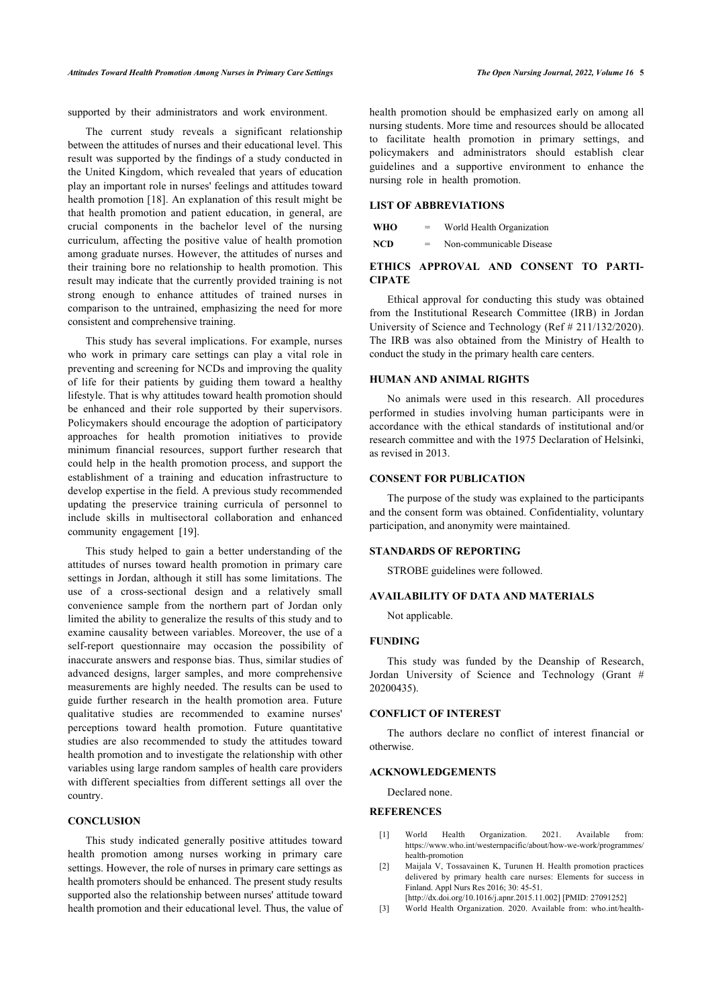supported by their administrators and work environment.

The current study reveals a significant relationship between the attitudes of nurses and their educational level. This result was supported by the findings of a study conducted in the United Kingdom, which revealed that years of education play an important role in nurses' feelings and attitudes toward health promotion [\[18](#page-5-14)]. An explanation of this result might be that health promotion and patient education, in general, are crucial components in the bachelor level of the nursing curriculum, affecting the positive value of health promotion among graduate nurses. However, the attitudes of nurses and their training bore no relationship to health promotion. This result may indicate that the currently provided training is not strong enough to enhance attitudes of trained nurses in comparison to the untrained, emphasizing the need for more consistent and comprehensive training.

This study has several implications. For example, nurses who work in primary care settings can play a vital role in preventing and screening for NCDs and improving the quality of life for their patients by guiding them toward a healthy lifestyle. That is why attitudes toward health promotion should be enhanced and their role supported by their supervisors. Policymakers should encourage the adoption of participatory approaches for health promotion initiatives to provide minimum financial resources, support further research that could help in the health promotion process, and support the establishment of a training and education infrastructure to develop expertise in the field. A previous study recommended updating the preservice training curricula of personnel to include skills in multisectoral collaboration and enhanced community engagement[[19\]](#page-5-15).

This study helped to gain a better understanding of the attitudes of nurses toward health promotion in primary care settings in Jordan, although it still has some limitations. The use of a cross-sectional design and a relatively small convenience sample from the northern part of Jordan only limited the ability to generalize the results of this study and to examine causality between variables. Moreover, the use of a self-report questionnaire may occasion the possibility of inaccurate answers and response bias. Thus, similar studies of advanced designs, larger samples, and more comprehensive measurements are highly needed. The results can be used to guide further research in the health promotion area. Future qualitative studies are recommended to examine nurses' perceptions toward health promotion. Future quantitative studies are also recommended to study the attitudes toward health promotion and to investigate the relationship with other variables using large random samples of health care providers with different specialties from different settings all over the country.

#### **CONCLUSION**

<span id="page-4-2"></span><span id="page-4-1"></span><span id="page-4-0"></span>This study indicated generally positive attitudes toward health promotion among nurses working in primary care settings. However, the role of nurses in primary care settings as health promoters should be enhanced. The present study results supported also the relationship between nurses' attitude toward health promotion and their educational level. Thus, the value of health promotion should be emphasized early on among all nursing students. More time and resources should be allocated to facilitate health promotion in primary settings, and policymakers and administrators should establish clear guidelines and a supportive environment to enhance the nursing role in health promotion.

# **LIST OF ABBREVIATIONS**

| WHO | $=$ | World Health Organization |
|-----|-----|---------------------------|
| NCD | $=$ | Non-communicable Disease  |

# **ETHICS APPROVAL AND CONSENT TO PARTI-CIPATE**

Ethical approval for conducting this study was obtained from the Institutional Research Committee (IRB) in Jordan University of Science and Technology (Ref # 211/132/2020). The IRB was also obtained from the Ministry of Health to conduct the study in the primary health care centers.

# **HUMAN AND ANIMAL RIGHTS**

No animals were used in this research. All procedures performed in studies involving human participants were in accordance with the ethical standards of institutional and/or research committee and with the 1975 Declaration of Helsinki, as revised in 2013.

# **CONSENT FOR PUBLICATION**

The purpose of the study was explained to the participants and the consent form was obtained. Confidentiality, voluntary participation, and anonymity were maintained.

#### **STANDARDS OF REPORTING**

STROBE guidelines were followed.

#### **AVAILABILITY OF DATA AND MATERIALS**

Not applicable.

#### **FUNDING**

This study was funded by the Deanship of Research, Jordan University of Science and Technology (Grant # 20200435).

# **CONFLICT OF INTEREST**

The authors declare no conflict of interest financial or otherwise.

# **ACKNOWLEDGEMENTS**

Declared none.

#### **REFERENCES**

- [1] World Health Organization. 2021. Available from: [https://www.who.int/westernpacific/about/how-we-work/programmes/](https://www.who.int/westernpacific/about/how-we-work/programmes/health-promotion) [health-promotion](https://www.who.int/westernpacific/about/how-we-work/programmes/health-promotion)
- [2] Maijala V, Tossavainen K, Turunen H. Health promotion practices delivered by primary health care nurses: Elements for success in Finland. Appl Nurs Res 2016; 30: 45-51.
- [\[http://dx.doi.org/10.1016/j.apnr.2015.11.002](http://dx.doi.org/10.1016/j.apnr.2015.11.002)] [PMID: [27091252\]](http://www.ncbi.nlm.nih.gov/pubmed/27091252)
- [3] World Health Organization. 2020. Available from: [who.int/health-](http://who.int/health-topics/health-promotion#tab=tab_1)